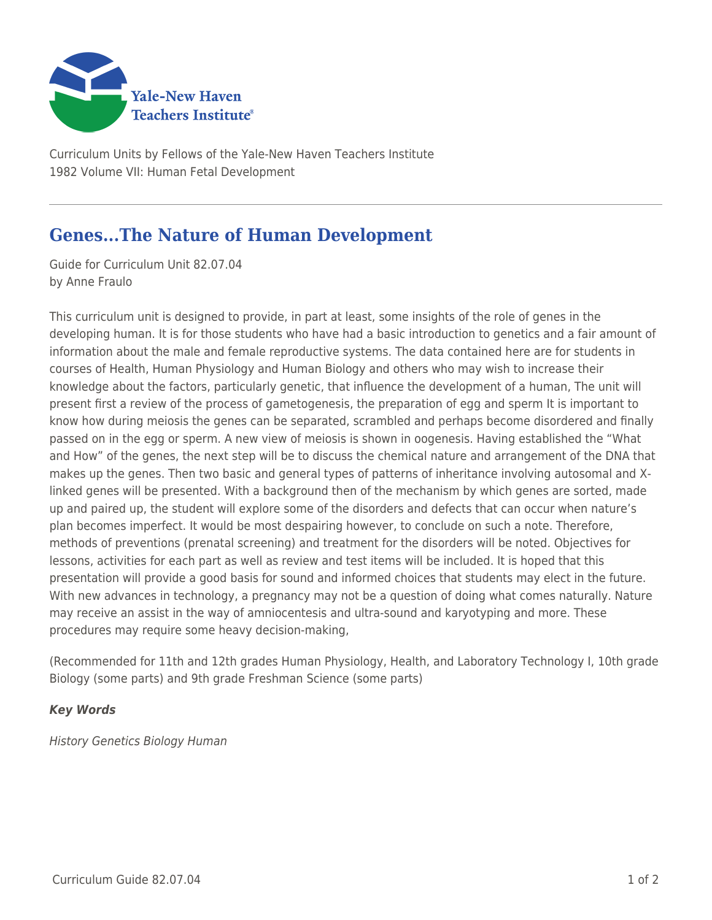

Curriculum Units by Fellows of the Yale-New Haven Teachers Institute 1982 Volume VII: Human Fetal Development

## **Genes...The Nature of Human Development**

Guide for Curriculum Unit 82.07.04 by Anne Fraulo

This curriculum unit is designed to provide, in part at least, some insights of the role of genes in the developing human. It is for those students who have had a basic introduction to genetics and a fair amount of information about the male and female reproductive systems. The data contained here are for students in courses of Health, Human Physiology and Human Biology and others who may wish to increase their knowledge about the factors, particularly genetic, that influence the development of a human, The unit will present first a review of the process of gametogenesis, the preparation of egg and sperm It is important to know how during meiosis the genes can be separated, scrambled and perhaps become disordered and finally passed on in the egg or sperm. A new view of meiosis is shown in oogenesis. Having established the "What and How" of the genes, the next step will be to discuss the chemical nature and arrangement of the DNA that makes up the genes. Then two basic and general types of patterns of inheritance involving autosomal and Xlinked genes will be presented. With a background then of the mechanism by which genes are sorted, made up and paired up, the student will explore some of the disorders and defects that can occur when nature's plan becomes imperfect. It would be most despairing however, to conclude on such a note. Therefore, methods of preventions (prenatal screening) and treatment for the disorders will be noted. Objectives for lessons, activities for each part as well as review and test items will be included. It is hoped that this presentation will provide a good basis for sound and informed choices that students may elect in the future. With new advances in technology, a pregnancy may not be a question of doing what comes naturally. Nature may receive an assist in the way of amniocentesis and ultra-sound and karyotyping and more. These procedures may require some heavy decision-making,

(Recommended for 11th and 12th grades Human Physiology, Health, and Laboratory Technology I, 10th grade Biology (some parts) and 9th grade Freshman Science (some parts)

## *Key Words*

History Genetics Biology Human